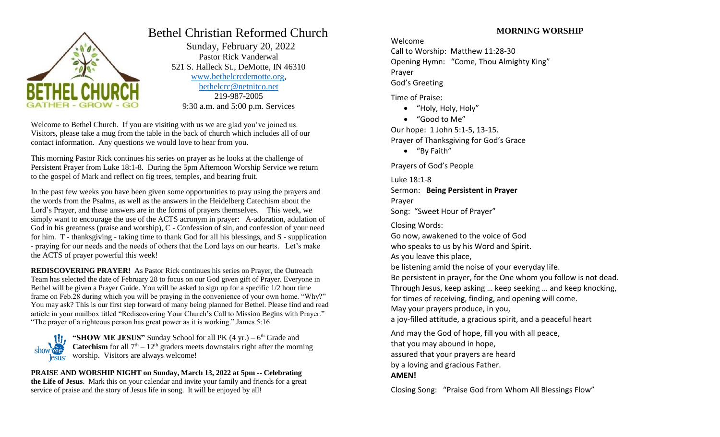

# Bethel Christian Reformed Church

 Sunday, February 20, 2022 Pastor Rick Vanderwal 521 S. Halleck St., DeMotte, IN 46310 [www.bethelcrcdemotte.org,](http://www.bethelcrcdemotte.org/) [bethelcrc@netnitco.net](mailto:bethelcrc@netnitco.net) 219-987-2005 9:30 a.m. and 5:00 p.m. Services

Welcome to Bethel Church. If you are visiting with us we are glad you've joined us. Visitors, please take a mug from the table in the back of church which includes all of our contact information. Any questions we would love to hear from you.

This morning Pastor Rick continues his series on prayer as he looks at the challenge of Persistent Prayer from Luke 18:1-8. During the 5pm Afternoon Worship Service we return to the gospel of Mark and reflect on fig trees, temples, and bearing fruit.

In the past few weeks you have been given some opportunities to pray using the prayers and the words from the Psalms, as well as the answers in the Heidelberg Catechism about the Lord's Prayer, and these answers are in the forms of prayers themselves. This week, we simply want to encourage the use of the ACTS acronym in prayer: A-adoration, adulation of God in his greatness (praise and worship), C - Confession of sin, and confession of your need for him. T - thanksgiving - taking time to thank God for all his blessings, and S - supplication - praying for our needs and the needs of others that the Lord lays on our hearts. Let's make the ACTS of prayer powerful this week!

**REDISCOVERING PRAYER!** As Pastor Rick continues his series on Prayer, the Outreach Team has selected the date of February 28 to focus on our God given gift of Prayer. Everyone in Bethel will be given a Prayer Guide. You will be asked to sign up for a specific 1/2 hour time frame on Feb.28 during which you will be praying in the convenience of your own home. "Why?" You may ask? This is our first step forward of many being planned for Bethel. Please find and read article in your mailbox titled "Rediscovering Your Church's Call to Mission Begins with Prayer." "The prayer of a righteous person has great power as it is working." James 5:16

"SHOW ME JESUS" Sunday School for all PK (4 yr.) – 6<sup>th</sup> Grade and **Catechism** for all  $7<sup>th</sup> - 12<sup>th</sup>$  graders meets downstairs right after the morning worship. Visitors are always welcome!

**PRAISE AND WORSHIP NIGHT on Sunday, March 13, 2022 at 5pm -- Celebrating the Life of Jesus**. Mark this on your calendar and invite your family and friends for a great service of praise and the story of Jesus life in song. It will be enjoyed by all!

# **MORNING WORSHIP**

Welcome

Call to Worship: Matthew 11:28-30 Opening Hymn: "Come, Thou Almighty King" Prayer God's Greeting

Time of Praise:

- "Holy, Holy, Holy"
- "Good to Me"

Our hope: 1 John 5:1-5, 13-15. Prayer of Thanksgiving for God's Grace

"By Faith"

Prayers of God's People

Luke 18:1-8

Sermon: **Being Persistent in Prayer** Prayer

Song: "Sweet Hour of Prayer"

Closing Words:

Go now, awakened to the voice of God

who speaks to us by his Word and Spirit.

As you leave this place,

be listening amid the noise of your everyday life.

Be persistent in prayer, for the One whom you follow is not dead.

Through Jesus, keep asking … keep seeking … and keep knocking,

for times of receiving, finding, and opening will come.

May your prayers produce, in you,

a joy-filled attitude, a gracious spirit, and a peaceful heart

And may the God of hope, fill you with all peace, that you may abound in hope, assured that your prayers are heard by a loving and gracious Father. **AMEN!**

Closing Song: "Praise God from Whom All Blessings Flow"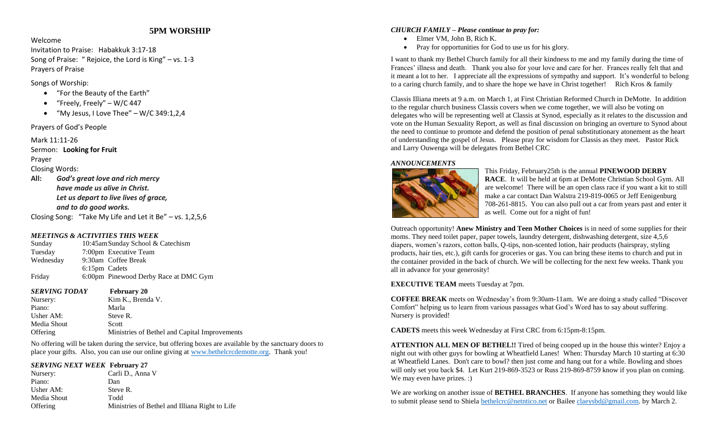# **5PM WORSHIP**

#### Welcome

Invitation to Praise: Habakkuk 3:17-18 Song of Praise: " Rejoice, the Lord is King" – vs. 1-3 Prayers of Praise

Songs of Worship:

- "For the Beauty of the Earth"
- $\bullet$  "Freely, Freely" W/C 447
- $\bullet$  "My Jesus, I Love Thee" W/C 349:1.2.4

# Prayers of God's People

# Mark 11:11-26

Sermon: **Looking for Fruit** Prayer

Closing Words:

**All:** *God's great love and rich mercy have made us alive in Christ. Let us depart to live lives of grace, and to do good works.*

Closing Song: "Take My Life and Let it Be" – vs. 1,2,5,6

# *MEETINGS & ACTIVITIES THIS WEEK*

| Sunday    |               | 10:45amSunday School & Catechism      |
|-----------|---------------|---------------------------------------|
| Tuesday   |               | 7:00pm Executive Team                 |
| Wednesday |               | 9:30am Coffee Break                   |
|           | 6:15pm Cadets |                                       |
| Friday    |               | 6:00pm Pinewood Derby Race at DMC Gym |

*SERVING TODAY* **February 20**

Nursery: Kim K., Brenda V. Piano: Marla Usher AM: Steve R. Media Shout Scott Offering Ministries of Bethel and Capital Improvements

No offering will be taken during the service, but offering boxes are available by the sanctuary doors to place your gifts. Also, you can use our online giving at [www.bethelcrcdemotte.org.](http://www.bethelcrcdemotte.org/) Thank you!

# *SERVING NEXT WEEK* **February 27**

Nursery: Carli D., Anna V Piano: Dan Usher AM: Steve R. Media Shout Todd Offering Ministries of Bethel and Illiana Right to Life

# *CHURCH FAMILY – Please continue to pray for:*

- Elmer VM, John B, Rich K.
- Pray for opportunities for God to use us for his glory.

I want to thank my Bethel Church family for all their kindness to me and my family during the time of Frances' illness and death. Thank you also for your love and care for her. Frances really felt that and it meant a lot to her. I appreciate all the expressions of sympathy and support. It's wonderful to belong to a caring church family, and to share the hope we have in Christ together! Rich Kros & family

Classis Illiana meets at 9 a.m. on March 1, at First Christian Reformed Church in DeMotte. In addition to the regular church business Classis covers when we come together, we will also be voting on delegates who will be representing well at Classis at Synod, especially as it relates to the discussion and vote on the Human Sexuality Report, as well as final discussion on bringing an overture to Synod about the need to continue to promote and defend the position of penal substitutionary atonement as the heart of understanding the gospel of Jesus. Please pray for wisdom for Classis as they meet. Pastor Rick and Larry Ouwenga will be delegates from Bethel CRC

# *ANNOUNCEMENTS*



This Friday, February25th is the annual **PINEWOOD DERBY RACE**. It will be held at 6pm at DeMotte Christian School Gym. All are welcome! There will be an open class race if you want a kit to still make a car contact Dan Walstra 219-819-0065 or Jeff Eenigenburg 708-261-8815. You can also pull out a car from years past and enter it as well. Come out for a night of fun!

Outreach opportunity! **Anew Ministry and Teen Mother Choices** is in need of some supplies for their moms. They need toilet paper, paper towels, laundry detergent, dishwashing detergent, size 4,5,6 diapers, women's razors, cotton balls, Q-tips, non-scented lotion, hair products (hairspray, styling products, hair ties, etc.), gift cards for groceries or gas. You can bring these items to church and put in the container provided in the back of church. We will be collecting for the next few weeks. Thank you all in advance for your generosity!

# **EXECUTIVE TEAM** meets Tuesday at 7pm.

**COFFEE BREAK** meets on Wednesday's from 9:30am-11am. We are doing a study called "Discover Comfort" helping us to learn from various passages what God's Word has to say about suffering. Nursery is provided!

**CADETS** meets this week Wednesday at First CRC from 6:15pm-8:15pm.

**ATTENTION ALL MEN OF BETHEL!!** Tired of being cooped up in the house this winter? Enjoy a night out with other guys for bowling at Wheatfield Lanes! When: Thursday March 10 starting at 6:30 at Wheatfield Lanes. Don't care to bowl? then just come and hang out for a while. Bowling and shoes will only set you back \$4. Let Kurt 219-869-3523 or Russ 219-869-8759 know if you plan on coming. We may even have prizes. :)

We are working on another issue of **BETHEL BRANCHES**. If anyone has something they would like to submit please send to Shiela [bethelcrc@netntico.net](mailto:bethelcrc@netntico.net) or Bailee [claeysbd@gmail.com.](mailto:claeysbd@gmail.com) by March 2.